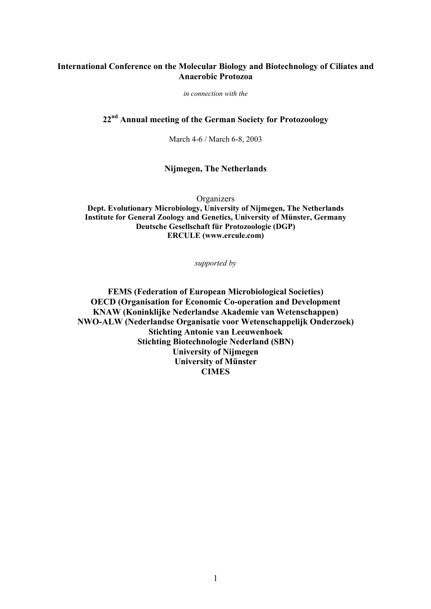# **International Conference on the Molecular Biology and Biotechnology of Ciliates and Anaerobic Protozoa**

*in connection with the* 

# **22nd Annual meeting of the German Society for Protozoology**

March 4-6 / March 6-8, 2003

## **Nijmegen, The Netherlands**

**Organizers Dept. Evolutionary Microbiology, University of Nijmegen, The Netherlands Institute for General Zoology and Genetics, University of Münster, Germany Deutsche Gesellschaft für Protozoologie (DGP) ERCULE (www.ercule.com)** 

*supported by* 

**FEMS (Federation of European Microbiological Societies) OECD (Organisation for Economic Co-operation and Development KNAW (Koninklijke Nederlandse Akademie van Wetenschappen) NWO-ALW (Nederlandse Organisatie voor Wetenschappelijk Onderzoek) Stichting Antonie van Leeuwenhoek Stichting Biotechnologie Nederland (SBN) University of Nijmegen University of Münster CIMES**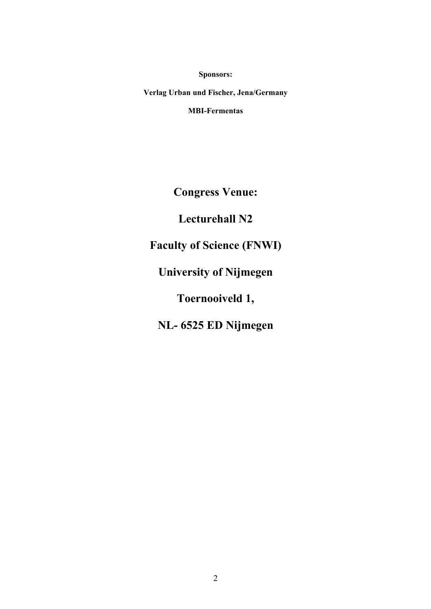**Sponsors:** 

**Verlag Urban und Fischer, Jena/Germany MBI-Fermentas**

**Congress Venue:** 

**Lecturehall N2** 

**Faculty of Science (FNWI)** 

**University of Nijmegen** 

**Toernooiveld 1,** 

**NL- 6525 ED Nijmegen**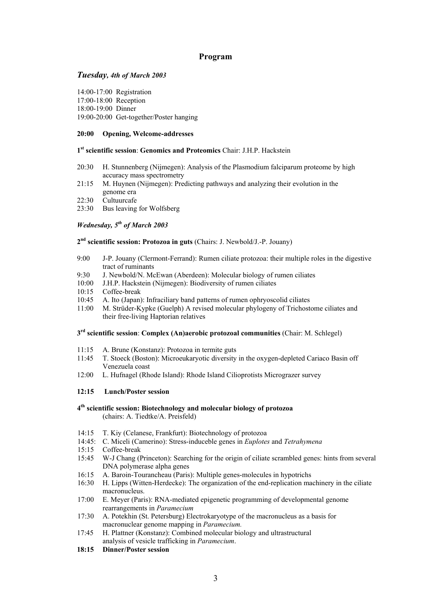## **Program**

## *Tuesday, 4th of March 2003*

14:00-17:00 Registration

17:00-18:00 Reception

18:00-19:00 Dinner

19:00-20:00 Get-together/Poster hanging

## **20:00 Opening, Welcome-addresses**

#### **1st scientific session**: **Genomics and Proteomics** Chair: J.H.P. Hackstein

- 20:30 H. Stunnenberg (Nijmegen): Analysis of the Plasmodium falciparum proteome by high accuracy mass spectrometry
- 21:15 M. Huynen (Nijmegen): Predicting pathways and analyzing their evolution in the genome era
- 22:30 Cultuurcafe
- 23:30 Bus leaving for Wolfsberg

## *Wednesday, 5th of March 2003*

## **2nd scientific session: Protozoa in guts** (Chairs: J. Newbold/J.-P. Jouany)

- 9:00 J-P. Jouany (Clermont-Ferrand): Rumen ciliate protozoa: their multiple roles in the digestive tract of ruminants
- 9:30 J. Newbold/N. McEwan (Aberdeen): Molecular biology of rumen ciliates
- 10:00 J.H.P. Hackstein (Nijmegen): Biodiversity of rumen ciliates
- 10:15 Coffee-break
- 10:45 A. Ito (Japan): Infraciliary band patterns of rumen ophryoscolid ciliates
- 11:00 M. Strüder-Kypke (Guelph) A revised molecular phylogeny of Trichostome ciliates and their free-living Haptorian relatives

## **3rd scientific session**: **Complex (An)aerobic protozoal communities** (Chair: M. Schlegel)

- 11:15 A. Brune (Konstanz): Protozoa in termite guts
- 11:45 T. Stoeck (Boston): Microeukaryotic diversity in the oxygen-depleted Cariaco Basin off Venezuela coast
- 12:00 L. Hufnagel (Rhode Island): Rhode Island Cilioprotists Micrograzer survey

#### **12:15 Lunch/Poster session**

## **4th scientific session: Biotechnology and molecular biology of protozoa** (chairs: A. Tiedtke/A. Preisfeld)

- 14:15 T. Kiy (Celanese, Frankfurt): Biotechnology of protozoa
- 14:45: C. Miceli (Camerino): Stress-induceble genes in *Euplotes* and *Tetrahymena*
- 15:15 Coffee-break
- 15:45 W-J Chang (Princeton): Searching for the origin of ciliate scrambled genes: hints from several DNA polymerase alpha genes
- 16:15 A. Baroin-Tourancheau (Paris): Multiple genes-molecules in hypotrichs
- 16:30 H. Lipps (Witten-Herdecke): The organization of the end-replication machinery in the ciliate macronucleus.
- 17:00 E. Meyer (Paris): RNA-mediated epigenetic programming of developmental genome rearrangements in *Paramecium*
- 17:30 A. Potekhin (St. Petersburg) Electrokaryotype of the macronucleus as a basis for macronuclear genome mapping in *Paramecium.*
- 17:45 H. Plattner (Konstanz): Combined molecular biology and ultrastructural analysis of vesicle trafficking in *Paramecium*.
- **18:15 Dinner/Poster session**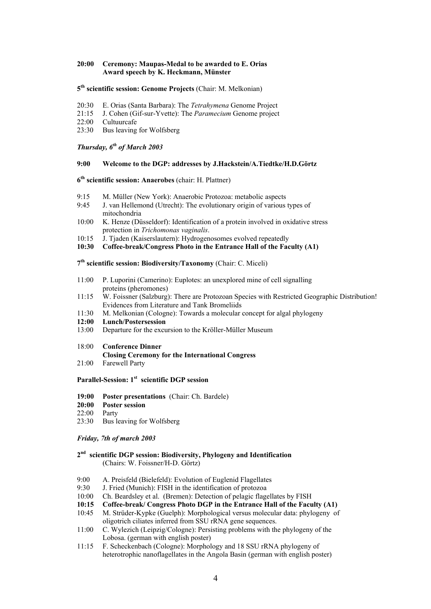#### **20:00 Ceremony: Maupas-Medal to be awarded to E. Orias Award speech by K. Heckmann, Münster**

#### **5th scientific session: Genome Projects** (Chair: M. Melkonian)

- 20:30 E. Orias (Santa Barbara): The *Tetrahymena* Genome Project
- 21:15 J. Cohen (Gif-sur-Yvette): The *Paramecium* Genome project
- 22:00 Cultuurcafe
- 23:30 Bus leaving for Wolfsberg

# *Thursday, 6th of March 2003*

#### **9:00 Welcome to the DGP: addresses by J.Hackstein/A.Tiedtke/H.D.Görtz**

## **6th scientific session: Anaerobes** (chair: H. Plattner)

- 9:15 M. Müller (New York): Anaerobic Protozoa: metabolic aspects
- 9:45 J. van Hellemond (Utrecht): The evolutionary origin of various types of mitochondria
- 10:00 K. Henze (Düsseldorf): Identification of a protein involved in oxidative stress protection in *Trichomonas vaginalis*.
- 10:15 J. Tjaden (Kaiserslautern): Hydrogenosomes evolved repeatedly
- **10:30 Coffee-break/Congress Photo in the Entrance Hall of the Faculty (A1)**

**7th scientific session: Biodiversity/Taxonomy** (Chair: C. Miceli)

- 11:00 P. Luporini (Camerino): Euplotes: an unexplored mine of cell signalling proteins (pheromones)
- 11:15 W. Foissner (Salzburg): There are Protozoan Species with Restricted Geographic Distribution! Evidences from Literature and Tank Bromeliids
- 11:30 M. Melkonian (Cologne): Towards a molecular concept for algal phylogeny

#### **12:00 Lunch/Postersession**

- 13:00 Departure for the excursion to the Kröller-Müller Museum
- 18:00 **Conference Dinner**
- **Closing Ceremony for the International Congress**
- 21:00 Farewell Party

#### **Parallel-Session: 1st scientific DGP session**

- **19:00 Poster presentations** (Chair: Ch. Bardele)
- **20:00 Poster session**
- 22:00 Party
- 23:30 Bus leaving for Wolfsberg

#### *Friday, 7th of march 2003*

#### **2nd scientific DGP session: Biodiversity, Phylogeny and Identification** (Chairs: W. Foissner/H-D. Görtz)

- 9:00 A. Preisfeld (Bielefeld): Evolution of Euglenid Flagellates
- 9:30 J. Fried (Munich): FISH in the identification of protozoa
- 10:00 Ch. Beardsley et al. (Bremen): Detection of pelagic flagellates by FISH
- **10:15 Coffee-break/ Congress Photo DGP in the Entrance Hall of the Faculty (A1)**
- 10:45 M. Strüder-Kypke (Guelph): Morphological versus molecular data: phylogeny of oligotrich ciliates inferred from SSU rRNA gene sequences.
- 11:00 C. Wylezich (Leipzig/Cologne): Persisting problems with the phylogeny of the Lobosa. (german with english poster)
- 11:15 F. Scheckenbach (Cologne): Morphology and 18 SSU rRNA phylogeny of heterotrophic nanoflagellates in the Angola Basin (german with english poster)